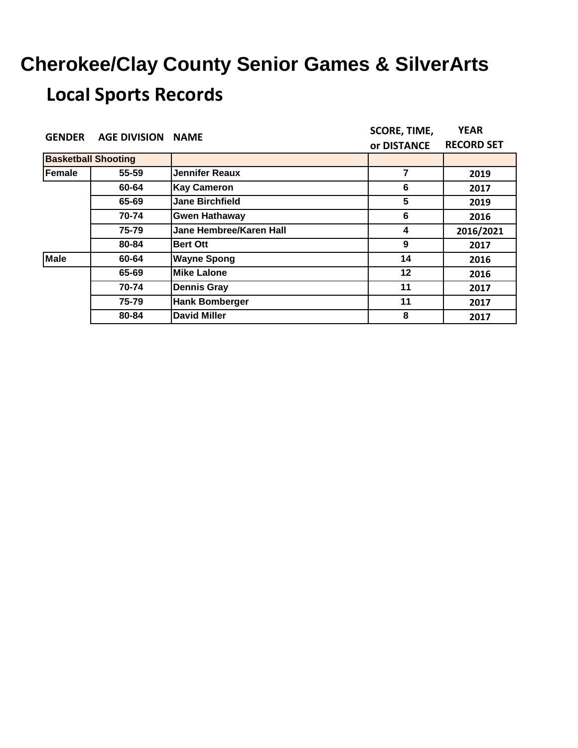| <b>GENDER</b>              | <b>AGE DIVISION</b> | <b>NAME</b>                    | <b>SCORE, TIME,</b>                  | <b>YEAR</b><br>2019<br>2017<br>2019<br>2016<br>2016/2021<br>2017 |
|----------------------------|---------------------|--------------------------------|--------------------------------------|------------------------------------------------------------------|
|                            |                     |                                | or DISTANCE<br>7<br>6<br>5<br>6<br>4 | <b>RECORD SET</b>                                                |
| <b>Basketball Shooting</b> |                     |                                |                                      |                                                                  |
| Female                     | 55-59               | <b>Jennifer Reaux</b>          |                                      |                                                                  |
|                            | 60-64               | <b>Kay Cameron</b>             |                                      |                                                                  |
|                            | 65-69               | <b>Jane Birchfield</b>         |                                      |                                                                  |
|                            | 70-74               | <b>Gwen Hathaway</b>           |                                      |                                                                  |
|                            | 75-79               | <b>Jane Hembree/Karen Hall</b> |                                      |                                                                  |
|                            | 80-84               | <b>Bert Ott</b>                | 9                                    |                                                                  |
| <b>Male</b>                | 60-64               | <b>Wayne Spong</b>             | 14                                   | 2016                                                             |
|                            | 65-69               | <b>Mike Lalone</b>             | 12                                   | 2016                                                             |
|                            | 70-74               | <b>Dennis Gray</b>             | 11                                   | 2017                                                             |
|                            | 75-79               | <b>Hank Bomberger</b>          | 11                                   | 2017                                                             |
|                            | 80-84               | <b>David Miller</b>            | 8                                    | 2017                                                             |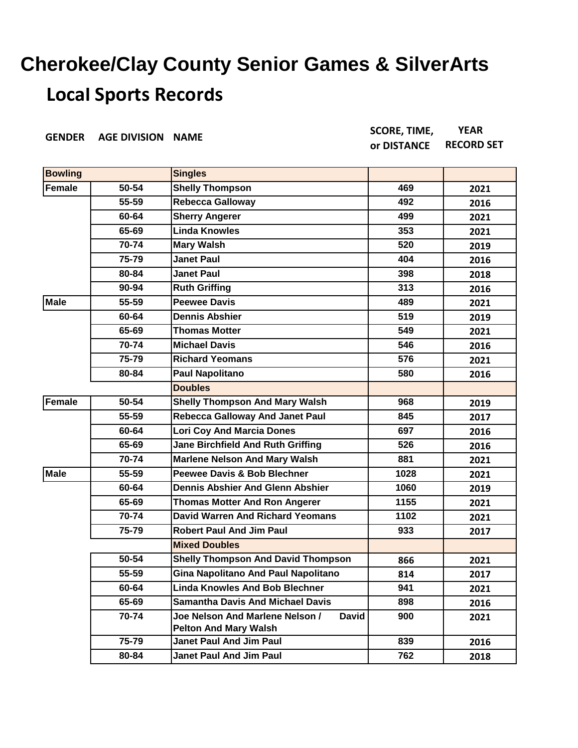| <b>GENDER</b>  | <b>AGE DIVISION</b> | <b>NAME</b>                                                    | <b>SCORE, TIME,</b> | <b>YEAR</b>       |
|----------------|---------------------|----------------------------------------------------------------|---------------------|-------------------|
|                |                     |                                                                | or DISTANCE         | <b>RECORD SET</b> |
| <b>Bowling</b> |                     | <b>Singles</b>                                                 |                     |                   |
| <b>Female</b>  | 50-54               | <b>Shelly Thompson</b>                                         | 469                 | 2021              |
|                | 55-59               | <b>Rebecca Galloway</b>                                        | 492                 | 2016              |
|                | 60-64               | <b>Sherry Angerer</b>                                          | 499                 | 2021              |
|                | 65-69               | <b>Linda Knowles</b>                                           | 353                 | 2021              |
|                | 70-74               | <b>Mary Walsh</b>                                              | 520                 | 2019              |
|                | 75-79               | <b>Janet Paul</b>                                              | 404                 | 2016              |
|                | 80-84               | <b>Janet Paul</b>                                              | 398                 | 2018              |
|                | 90-94               | <b>Ruth Griffing</b>                                           | 313                 | 2016              |
| <b>Male</b>    | 55-59               | <b>Peewee Davis</b>                                            | 489                 | 2021              |
|                | 60-64               | <b>Dennis Abshier</b>                                          | 519                 | 2019              |
|                | 65-69               | <b>Thomas Motter</b>                                           | 549                 | 2021              |
|                | 70-74               | <b>Michael Davis</b>                                           | 546                 | 2016              |
|                | 75-79               | <b>Richard Yeomans</b>                                         | 576                 | 2021              |
|                | 80-84               | <b>Paul Napolitano</b>                                         | 580                 | 2016              |
|                |                     | <b>Doubles</b>                                                 |                     |                   |
| <b>Female</b>  | 50-54               | <b>Shelly Thompson And Mary Walsh</b>                          | 968                 | 2019              |
|                | 55-59               | <b>Rebecca Galloway And Janet Paul</b>                         | 845                 | 2017              |
|                | 60-64               | <b>Lori Coy And Marcia Dones</b>                               | 697                 | 2016              |
|                | 65-69               | <b>Jane Birchfield And Ruth Griffing</b>                       | 526                 | 2016              |
|                | 70-74               | <b>Marlene Nelson And Mary Walsh</b>                           | 881                 | 2021              |
| <b>Male</b>    | 55-59               | <b>Peewee Davis &amp; Bob Blechner</b>                         | 1028                | 2021              |
|                | 60-64               | <b>Dennis Abshier And Glenn Abshier</b>                        | 1060                | 2019              |
|                | 65-69               | <b>Thomas Motter And Ron Angerer</b>                           | 1155                | 2021              |
|                | 70-74               | <b>David Warren And Richard Yeomans</b>                        | 1102                | 2021              |
|                | 75-79               | <b>Robert Paul And Jim Paul</b>                                | 933                 | 2017              |
|                |                     | <b>Mixed Doubles</b>                                           |                     |                   |
|                | 50-54               | <b>Shelly Thompson And David Thompson</b>                      | 866                 | 2021              |
|                | 55-59               | Gina Napolitano And Paul Napolitano                            | 814                 | 2017              |
|                | 60-64               | <b>Linda Knowles And Bob Blechner</b>                          | 941                 | 2021              |
|                | 65-69               | <b>Samantha Davis And Michael Davis</b>                        | 898                 | 2016              |
|                | 70-74               | Joe Nelson And Marlene Nelson /<br><b>David</b>                | 900                 | 2021              |
|                | 75-79               | <b>Pelton And Mary Walsh</b><br><b>Janet Paul And Jim Paul</b> | 839                 |                   |
|                | 80-84               | <b>Janet Paul And Jim Paul</b>                                 | 762                 | 2016              |
|                |                     |                                                                |                     | 2018              |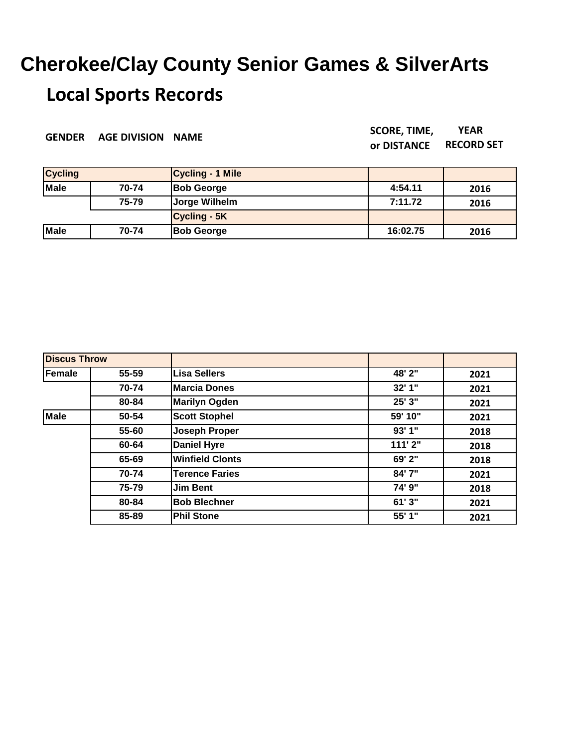**GENDER AGE DIVISION NAME SCORE, TIME,** 

**or DISTANCE YEAR RECORD SET**

| <b>Cycling</b> |       | Cycling - 1 Mile    |          |      |
|----------------|-------|---------------------|----------|------|
| <b>Male</b>    | 70-74 | <b>Bob George</b>   | 4:54.11  | 2016 |
|                | 75-79 | Jorge Wilhelm       | 7:11.72  | 2016 |
|                |       | <b>Cycling - 5K</b> |          |      |
| Male           | 70-74 | <b>Bob George</b>   | 16:02.75 | 2016 |

| <b>Discus Throw</b> |       |                        |         |      |
|---------------------|-------|------------------------|---------|------|
| Female              | 55-59 | Lisa Sellers           | 48' 2"  | 2021 |
|                     | 70-74 | <b>Marcia Dones</b>    | 32'1"   | 2021 |
|                     | 80-84 | <b>Marilyn Ogden</b>   | 25' 3"  | 2021 |
| Male                | 50-54 | <b>Scott Stophel</b>   | 59' 10" | 2021 |
|                     | 55-60 | Joseph Proper          | 93'1"   | 2018 |
|                     | 60-64 | <b>Daniel Hyre</b>     | 111'2"  | 2018 |
|                     | 65-69 | <b>Winfield Clonts</b> | 69' 2"  | 2018 |
|                     | 70-74 | <b>Terence Faries</b>  | 84'7"   | 2021 |
|                     | 75-79 | Jim Bent               | 74' 9"  | 2018 |
|                     | 80-84 | <b>Bob Blechner</b>    | 61'3"   | 2021 |
|                     | 85-89 | <b>Phil Stone</b>      | 55' 1"  | 2021 |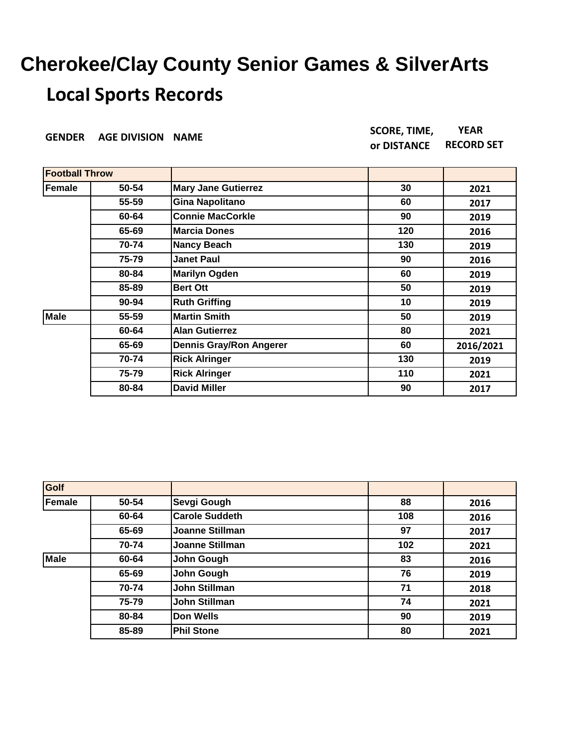| <b>GENDER</b>         | <b>AGE DIVISION NAME</b> |                                | <b>SCORE, TIME,</b> | <b>YEAR</b>       |
|-----------------------|--------------------------|--------------------------------|---------------------|-------------------|
|                       |                          |                                | or DISTANCE         | <b>RECORD SET</b> |
|                       |                          |                                |                     |                   |
| <b>Football Throw</b> |                          |                                |                     |                   |
| Female                | 50-54                    | <b>Mary Jane Gutierrez</b>     | 30                  | 2021              |
|                       | 55-59                    | <b>Gina Napolitano</b>         | 60                  | 2017              |
|                       | 60-64                    | <b>Connie MacCorkle</b>        | 90                  | 2019              |
|                       | 65-69                    | <b>Marcia Dones</b>            | 120                 | 2016              |
|                       | 70-74                    | <b>Nancy Beach</b>             | 130                 | 2019              |
|                       | 75-79                    | <b>Janet Paul</b>              | 90                  | 2016              |
|                       | 80-84                    | <b>Marilyn Ogden</b>           | 60                  | 2019              |
|                       | 85-89                    | <b>Bert Ott</b>                | 50                  | 2019              |
|                       | $90 - 94$                | <b>Ruth Griffing</b>           | 10                  | 2019              |
| <b>Male</b>           | 55-59                    | <b>Martin Smith</b>            | 50                  | 2019              |
|                       | 60-64                    | <b>Alan Gutierrez</b>          | 80                  | 2021              |
|                       | 65-69                    | <b>Dennis Gray/Ron Angerer</b> | 60                  | 2016/2021         |
|                       | 70-74                    | <b>Rick Alringer</b>           | 130                 | 2019              |
|                       | 75-79                    | <b>Rick Alringer</b>           | 110                 | 2021              |
|                       | 80-84                    | <b>David Miller</b>            | 90                  | 2017              |

| Golf        |       |                       |     |      |
|-------------|-------|-----------------------|-----|------|
| Female      | 50-54 | Sevgi Gough           | 88  | 2016 |
|             | 60-64 | <b>Carole Suddeth</b> | 108 | 2016 |
|             | 65-69 | Joanne Stillman       | 97  | 2017 |
|             | 70-74 | Joanne Stillman       | 102 | 2021 |
| <b>Male</b> | 60-64 | John Gough            | 83  | 2016 |
|             | 65-69 | John Gough            | 76  | 2019 |
|             | 70-74 | <b>John Stillman</b>  | 71  | 2018 |
|             | 75-79 | <b>John Stillman</b>  | 74  | 2021 |
|             | 80-84 | <b>Don Wells</b>      | 90  | 2019 |
|             | 85-89 | <b>Phil Stone</b>     | 80  | 2021 |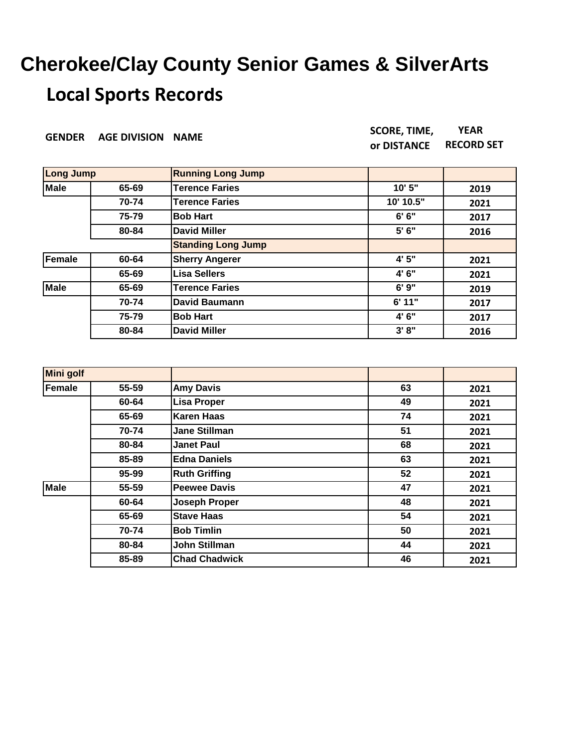| <b>GENDER</b>    | <b>AGE DIVISION NAME</b> |                           | <b>SCORE, TIME,</b><br>or DISTANCE | <b>YEAR</b><br><b>RECORD SET</b> |
|------------------|--------------------------|---------------------------|------------------------------------|----------------------------------|
| <b>Long Jump</b> |                          | <b>Running Long Jump</b>  |                                    |                                  |
| <b>Male</b>      | 65-69                    | <b>Terence Faries</b>     | 10' 5"                             | 2019                             |
|                  | 70-74                    | <b>Terence Faries</b>     | 10' 10.5"                          | 2021                             |
|                  | 75-79                    | <b>Bob Hart</b>           | 6'6''                              | 2017                             |
|                  | 80-84                    | <b>David Miller</b>       | 5'6''                              | 2016                             |
|                  |                          | <b>Standing Long Jump</b> |                                    |                                  |
| <b>Female</b>    | 60-64                    | <b>Sherry Angerer</b>     | 4' 5"                              | 2021                             |
|                  | 65-69                    | Lisa Sellers              | 4' 6"                              | 2021                             |
| <b>Male</b>      | 65-69                    | <b>Terence Faries</b>     | 6'9''                              | 2019                             |
|                  | 70-74                    | <b>David Baumann</b>      | 6' 11"                             | 2017                             |
|                  | 75-79                    | <b>Bob Hart</b>           | 4' 6"                              | 2017                             |
|                  | 80-84                    | <b>David Miller</b>       | 3' 8''                             | 2016                             |

| <b>Mini golf</b> |       |                      |    |      |
|------------------|-------|----------------------|----|------|
| Female           | 55-59 | <b>Amy Davis</b>     | 63 | 2021 |
|                  | 60-64 | <b>Lisa Proper</b>   | 49 | 2021 |
|                  | 65-69 | <b>Karen Haas</b>    | 74 | 2021 |
|                  | 70-74 | <b>Jane Stillman</b> | 51 | 2021 |
|                  | 80-84 | <b>Janet Paul</b>    | 68 | 2021 |
|                  | 85-89 | <b>Edna Daniels</b>  | 63 | 2021 |
|                  | 95-99 | <b>Ruth Griffing</b> | 52 | 2021 |
| <b>Male</b>      | 55-59 | <b>Peewee Davis</b>  | 47 | 2021 |
|                  | 60-64 | <b>Joseph Proper</b> | 48 | 2021 |
|                  | 65-69 | <b>Stave Haas</b>    | 54 | 2021 |
|                  | 70-74 | <b>Bob Timlin</b>    | 50 | 2021 |
|                  | 80-84 | John Stillman        | 44 | 2021 |
|                  | 85-89 | <b>Chad Chadwick</b> | 46 | 2021 |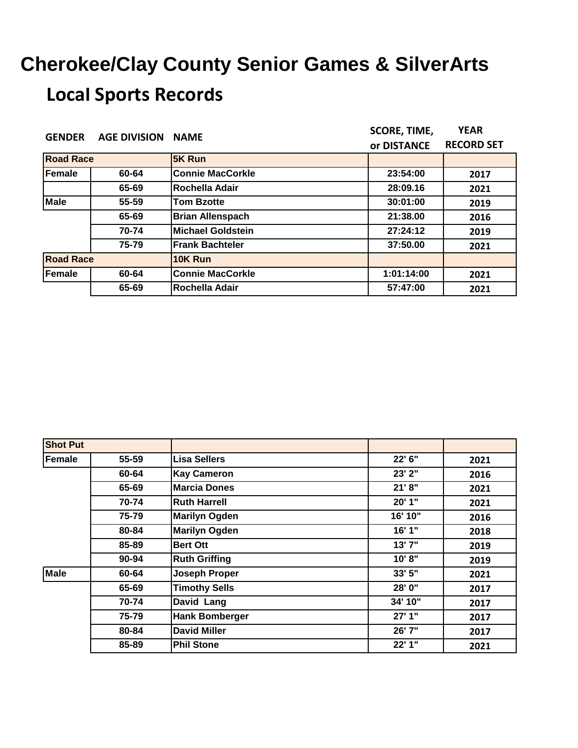| <b>GENDER</b>    | <b>AGE DIVISION</b> | <b>NAME</b>              | <b>SCORE, TIME,</b>                                                                 | <b>YEAR</b><br><b>RECORD SET</b><br>2017<br>2021 |
|------------------|---------------------|--------------------------|-------------------------------------------------------------------------------------|--------------------------------------------------|
|                  |                     |                          | or DISTANCE<br>23:54:00<br>28:09.16<br>30:01:00<br>21:38.00<br>27:24:12<br>37:50.00 |                                                  |
| <b>Road Race</b> |                     | 5K Run                   |                                                                                     |                                                  |
| Female           | 60-64               | <b>Connie MacCorkle</b>  |                                                                                     |                                                  |
|                  | 65-69               | Rochella Adair           |                                                                                     |                                                  |
| <b>Male</b>      | 55-59               | <b>Tom Bzotte</b>        |                                                                                     | 2019                                             |
|                  | 65-69               | <b>Brian Allenspach</b>  |                                                                                     | 2016                                             |
|                  | 70-74               | <b>Michael Goldstein</b> |                                                                                     | 2019                                             |
|                  | 75-79               | <b>Frank Bachteler</b>   |                                                                                     | 2021                                             |
| <b>Road Race</b> |                     | 10K Run                  |                                                                                     |                                                  |
| Female           | 60-64               | <b>Connie MacCorkle</b>  | 1:01:14:00                                                                          | 2021                                             |
|                  | 65-69               | Rochella Adair           | 57:47:00                                                                            | 2021                                             |

| <b>Shot Put</b> |       |                       |         |      |
|-----------------|-------|-----------------------|---------|------|
| Female          | 55-59 | <b>Lisa Sellers</b>   | 22' 6"  | 2021 |
|                 | 60-64 | <b>Kay Cameron</b>    | 23' 2"  | 2016 |
|                 | 65-69 | <b>Marcia Dones</b>   | 21' 8'' | 2021 |
|                 | 70-74 | <b>Ruth Harrell</b>   | 20'1"   | 2021 |
|                 | 75-79 | <b>Marilyn Ogden</b>  | 16' 10" | 2016 |
|                 | 80-84 | <b>Marilyn Ogden</b>  | 16' 1"  | 2018 |
|                 | 85-89 | <b>Bert Ott</b>       | 13'7"   | 2019 |
|                 | 90-94 | <b>Ruth Griffing</b>  | 10'8"   | 2019 |
| <b>Male</b>     | 60-64 | <b>Joseph Proper</b>  | 33' 5"  | 2021 |
|                 | 65-69 | <b>Timothy Sells</b>  | 28' 0"  | 2017 |
|                 | 70-74 | David Lang            | 34' 10" | 2017 |
|                 | 75-79 | <b>Hank Bomberger</b> | 27'1"   | 2017 |
|                 | 80-84 | <b>David Miller</b>   | 26' 7"  | 2017 |
|                 | 85-89 | <b>Phil Stone</b>     | 22'1"   | 2021 |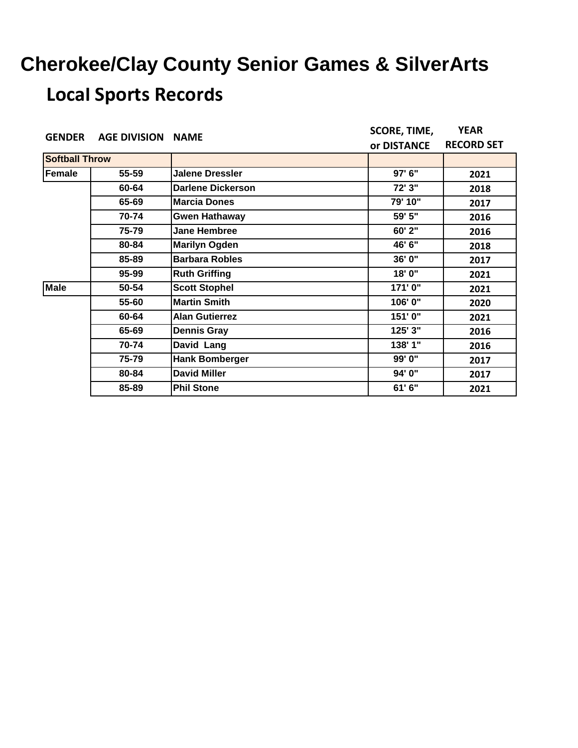| <b>GENDER</b>         | <b>AGE DIVISION NAME</b> |                          | <b>SCORE, TIME,</b>                                                      | <b>YEAR</b><br><b>RECORD SET</b><br>2021 |
|-----------------------|--------------------------|--------------------------|--------------------------------------------------------------------------|------------------------------------------|
|                       |                          |                          | or DISTANCE<br>97' 6"<br>72' 3"<br>79' 10"<br>59' 5"<br>60' 2"<br>46' 6" |                                          |
| <b>Softball Throw</b> |                          |                          |                                                                          |                                          |
| <b>Female</b>         | 55-59                    | <b>Jalene Dressler</b>   |                                                                          |                                          |
|                       | 60-64                    | <b>Darlene Dickerson</b> |                                                                          | 2018                                     |
|                       | 65-69                    | <b>Marcia Dones</b>      |                                                                          | 2017                                     |
|                       | 70-74                    | <b>Gwen Hathaway</b>     |                                                                          | 2016                                     |
|                       | 75-79                    | <b>Jane Hembree</b>      |                                                                          | 2016                                     |
|                       | 80-84                    | <b>Marilyn Ogden</b>     |                                                                          | 2018                                     |
|                       | 85-89                    | <b>Barbara Robles</b>    | 36' 0"                                                                   | 2017                                     |
|                       | 95-99                    | <b>Ruth Griffing</b>     | 18' 0"                                                                   | 2021                                     |
| <b>Male</b>           | 50-54                    | <b>Scott Stophel</b>     | 171'0"                                                                   | 2021                                     |
|                       | 55-60                    | <b>Martin Smith</b>      | 106'0"                                                                   | 2020                                     |
|                       | 60-64                    | <b>Alan Gutierrez</b>    | 151'0"                                                                   | 2021                                     |
|                       | 65-69                    | <b>Dennis Gray</b>       | 125' 3"                                                                  | 2016                                     |
|                       | 70-74                    | David Lang               | 138' 1"                                                                  | 2016                                     |
|                       | 75-79                    | <b>Hank Bomberger</b>    | 99' 0"                                                                   | 2017                                     |
|                       | 80-84                    | <b>David Miller</b>      | 94' 0"                                                                   | 2017                                     |
|                       | 85-89                    | <b>Phil Stone</b>        | 61' 6"                                                                   | 2021                                     |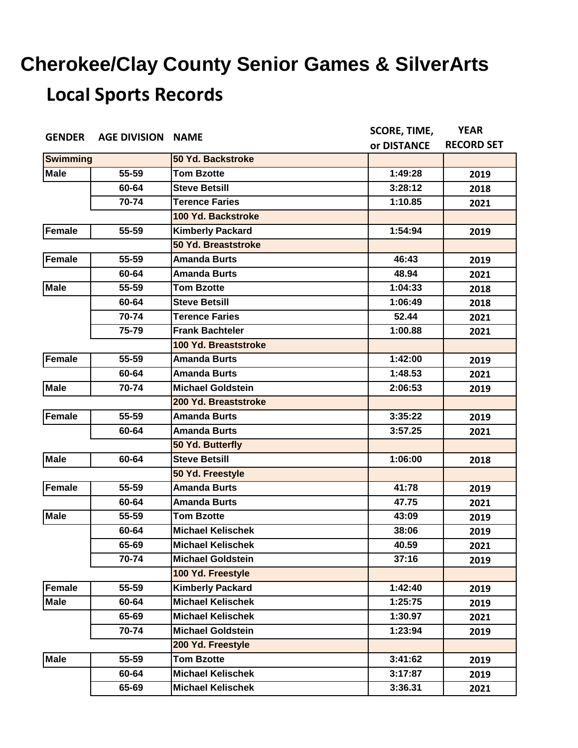| <b>GENDER</b>   | <b>AGE DIVISION NAME</b> |                          | <b>SCORE, TIME,</b> | <b>YEAR</b>       |
|-----------------|--------------------------|--------------------------|---------------------|-------------------|
|                 |                          |                          | or DISTANCE         | <b>RECORD SET</b> |
| <b>Swimming</b> |                          | 50 Yd. Backstroke        |                     |                   |
| <b>Male</b>     | 55-59                    | <b>Tom Bzotte</b>        | 1:49:28             | 2019              |
|                 | 60-64                    | <b>Steve Betsill</b>     | 3:28:12             | 2018              |
|                 | 70-74                    | <b>Terence Faries</b>    | 1:10.85             | 2021              |
|                 |                          | 100 Yd. Backstroke       |                     |                   |
| <b>Female</b>   | 55-59                    | <b>Kimberly Packard</b>  | 1:54:94             | 2019              |
|                 |                          | 50 Yd. Breaststroke      |                     |                   |
| <b>Female</b>   | 55-59                    | <b>Amanda Burts</b>      | 46:43               | 2019              |
|                 | 60-64                    | <b>Amanda Burts</b>      | 48.94               | 2021              |
| <b>Male</b>     | 55-59                    | <b>Tom Bzotte</b>        | 1:04:33             | 2018              |
|                 | 60-64                    | <b>Steve Betsill</b>     | 1:06:49             | 2018              |
|                 | 70-74                    | <b>Terence Faries</b>    | 52.44               | 2021              |
|                 | 75-79                    | <b>Frank Bachteler</b>   | 1:00.88             | 2021              |
|                 |                          | 100 Yd. Breaststroke     |                     |                   |
| <b>Female</b>   | 55-59                    | <b>Amanda Burts</b>      | 1:42:00             | 2019              |
|                 | 60-64                    | <b>Amanda Burts</b>      | 1:48.53             | 2021              |
| <b>Male</b>     | 70-74                    | <b>Michael Goldstein</b> | 2:06:53             | 2019              |
|                 |                          | 200 Yd. Breaststroke     |                     |                   |
| <b>Female</b>   | 55-59                    | <b>Amanda Burts</b>      | 3:35:22             | 2019              |
|                 | 60-64                    | <b>Amanda Burts</b>      | 3:57.25             | 2021              |
|                 |                          | 50 Yd. Butterfly         |                     |                   |
| <b>Male</b>     | 60-64                    | <b>Steve Betsill</b>     | 1:06:00             | 2018              |
|                 |                          | 50 Yd. Freestyle         |                     |                   |
| <b>Female</b>   | 55-59                    | <b>Amanda Burts</b>      | 41:78               | 2019              |
|                 | 60-64                    | <b>Amanda Burts</b>      | 47.75               | 2021              |
| <b>Male</b>     | 55-59                    | <b>Tom Bzotte</b>        | 43:09               | 2019              |
|                 | 60-64                    | <b>Michael Kelischek</b> | 38:06               | 2019              |
|                 | 65-69                    | <b>Michael Kelischek</b> | 40.59               | 2021              |
|                 | 70-74                    | <b>Michael Goldstein</b> | 37:16               | 2019              |
|                 |                          | 100 Yd. Freestyle        |                     |                   |
| <b>Female</b>   | 55-59                    | <b>Kimberly Packard</b>  | 1:42:40             | 2019              |
| <b>Male</b>     | 60-64                    | <b>Michael Kelischek</b> | 1:25:75             | 2019              |
|                 | 65-69                    | <b>Michael Kelischek</b> | 1:30.97             | 2021              |
|                 | 70-74                    | <b>Michael Goldstein</b> | 1:23:94             | 2019              |
|                 |                          | 200 Yd. Freestyle        |                     |                   |
| <b>Male</b>     | 55-59                    | <b>Tom Bzotte</b>        | 3:41:62             | 2019              |
|                 | 60-64                    | <b>Michael Kelischek</b> | 3:17:87             | 2019              |
|                 | 65-69                    | <b>Michael Kelischek</b> | 3:36.31             | 2021              |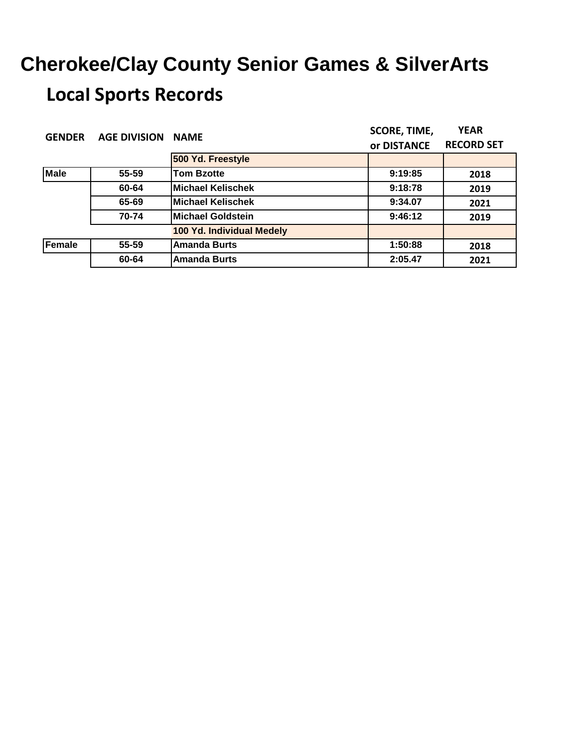| <b>GENDER</b> | <b>AGE DIVISION</b> | <b>NAME</b>               | <b>SCORE, TIME,</b> | <b>YEAR</b>       |
|---------------|---------------------|---------------------------|---------------------|-------------------|
|               |                     |                           | or DISTANCE         | <b>RECORD SET</b> |
|               |                     | 500 Yd. Freestyle         |                     |                   |
| <b>Male</b>   | 55-59               | <b>Tom Bzotte</b>         | 9:19:85             | 2018              |
|               | 60-64               | <b>Michael Kelischek</b>  | 9:18:78             | 2019              |
|               | 65-69               | <b>Michael Kelischek</b>  | 9:34.07             | 2021              |
|               | 70-74               | <b>Michael Goldstein</b>  | 9:46:12             | 2019              |
|               |                     | 100 Yd. Individual Medely |                     |                   |
| Female        | 55-59               | <b>Amanda Burts</b>       | 1:50:88             | 2018              |
|               | 60-64               | <b>Amanda Burts</b>       | 2:05.47             | 2021              |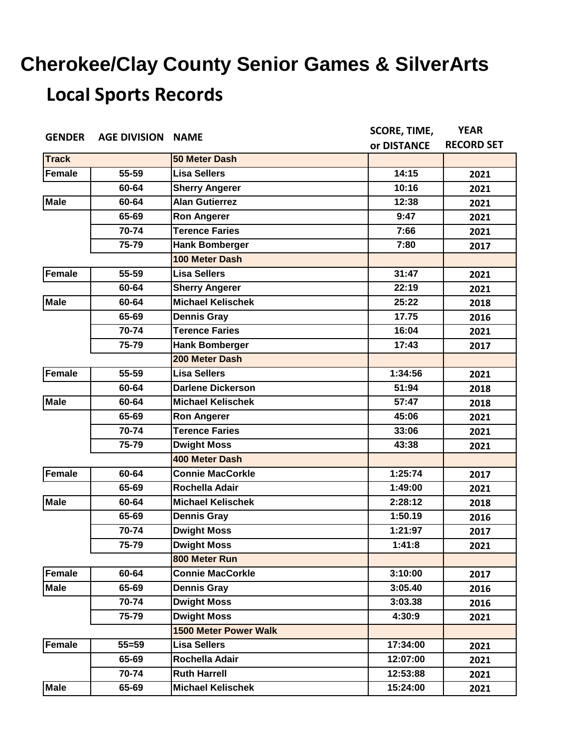| <b>GENDER</b> | <b>AGE DIVISION NAME</b> |                              | <b>SCORE, TIME,</b> | <b>YEAR</b>       |
|---------------|--------------------------|------------------------------|---------------------|-------------------|
|               |                          |                              | or DISTANCE         | <b>RECORD SET</b> |
| <b>Track</b>  |                          | 50 Meter Dash                |                     |                   |
| <b>Female</b> | 55-59                    | <b>Lisa Sellers</b>          | 14:15               | 2021              |
|               | 60-64                    | <b>Sherry Angerer</b>        | 10:16               | 2021              |
| <b>Male</b>   | 60-64                    | <b>Alan Gutierrez</b>        | 12:38               | 2021              |
|               | 65-69                    | <b>Ron Angerer</b>           | 9:47                | 2021              |
|               | 70-74                    | <b>Terence Faries</b>        | 7:66                | 2021              |
|               | 75-79                    | <b>Hank Bomberger</b>        | 7:80                | 2017              |
|               |                          | 100 Meter Dash               |                     |                   |
| <b>Female</b> | 55-59                    | <b>Lisa Sellers</b>          | 31:47               | 2021              |
|               | 60-64                    | <b>Sherry Angerer</b>        | 22:19               | 2021              |
| <b>Male</b>   | 60-64                    | <b>Michael Kelischek</b>     | 25:22               | 2018              |
|               | 65-69                    | <b>Dennis Gray</b>           | 17.75               | 2016              |
|               | 70-74                    | <b>Terence Faries</b>        | 16:04               | 2021              |
|               | 75-79                    | <b>Hank Bomberger</b>        | 17:43               | 2017              |
|               |                          | 200 Meter Dash               |                     |                   |
| <b>Female</b> | 55-59                    | <b>Lisa Sellers</b>          | 1:34:56             | 2021              |
|               | 60-64                    | <b>Darlene Dickerson</b>     | 51:94               | 2018              |
| <b>Male</b>   | 60-64                    | <b>Michael Kelischek</b>     | 57:47               | 2018              |
|               | 65-69                    | <b>Ron Angerer</b>           | 45:06               | 2021              |
|               | 70-74                    | <b>Terence Faries</b>        | 33:06               | 2021              |
|               | 75-79                    | <b>Dwight Moss</b>           | 43:38               | 2021              |
|               |                          | <b>400 Meter Dash</b>        |                     |                   |
| <b>Female</b> | 60-64                    | <b>Connie MacCorkle</b>      | 1:25:74             | 2017              |
|               | 65-69                    | Rochella Adair               | 1:49:00             | 2021              |
| <b>Male</b>   | 60-64                    | <b>Michael Kelischek</b>     | 2:28:12             | 2018              |
|               | 65-69                    | <b>Dennis Gray</b>           | 1:50.19             | 2016              |
|               | 70-74                    | <b>Dwight Moss</b>           | 1:21:97             | 2017              |
|               | 75-79                    | <b>Dwight Moss</b>           | 1:41:8              | 2021              |
|               |                          | 800 Meter Run                |                     |                   |
| Female        | 60-64                    | <b>Connie MacCorkle</b>      | 3:10:00             | 2017              |
| <b>Male</b>   | 65-69                    | <b>Dennis Gray</b>           | 3:05.40             | 2016              |
|               | 70-74                    | <b>Dwight Moss</b>           | 3:03.38             | 2016              |
|               | 75-79                    | <b>Dwight Moss</b>           | 4:30:9              | 2021              |
|               |                          | <b>1500 Meter Power Walk</b> |                     |                   |
| Female        | $55 = 59$                | <b>Lisa Sellers</b>          | 17:34:00            | 2021              |
|               | 65-69                    | Rochella Adair               | 12:07:00            | 2021              |
|               | 70-74                    | <b>Ruth Harrell</b>          | 12:53:88            | 2021              |
| <b>Male</b>   | 65-69                    | <b>Michael Kelischek</b>     | 15:24:00            | 2021              |